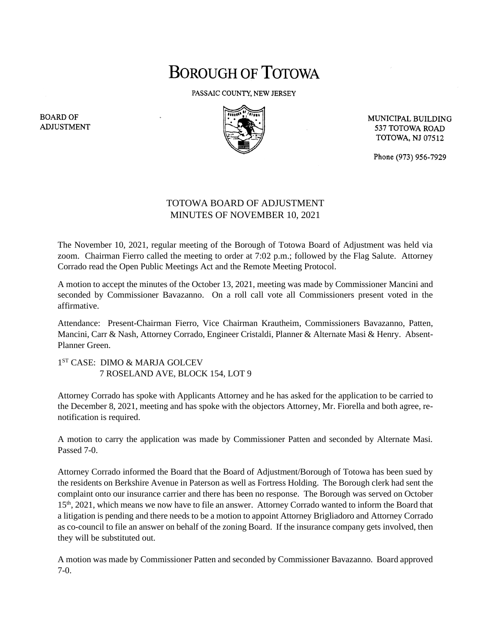## **BOROUGH OF TOTOWA**

PASSAIC COUNTY, NEW JERSEY



MUNICIPAL BUILDING 537 TOTOWA ROAD **TOTOWA, NJ 07512** 

Phone (973) 956-7929

## TOTOWA BOARD OF ADJUSTMENT MINUTES OF NOVEMBER 10, 2021

The November 10, 2021, regular meeting of the Borough of Totowa Board of Adjustment was held via zoom. Chairman Fierro called the meeting to order at 7:02 p.m.; followed by the Flag Salute. Attorney Corrado read the Open Public Meetings Act and the Remote Meeting Protocol.

A motion to accept the minutes of the October 13, 2021, meeting was made by Commissioner Mancini and seconded by Commissioner Bavazanno. On a roll call vote all Commissioners present voted in the affirmative.

Attendance: Present-Chairman Fierro, Vice Chairman Krautheim, Commissioners Bavazanno, Patten, Mancini, Carr & Nash, Attorney Corrado, Engineer Cristaldi, Planner & Alternate Masi & Henry. Absent-Planner Green.

1 ST CASE: DIMO & MARJA GOLCEV 7 ROSELAND AVE, BLOCK 154, LOT 9

Attorney Corrado has spoke with Applicants Attorney and he has asked for the application to be carried to the December 8, 2021, meeting and has spoke with the objectors Attorney, Mr. Fiorella and both agree, renotification is required.

A motion to carry the application was made by Commissioner Patten and seconded by Alternate Masi. Passed 7-0.

Attorney Corrado informed the Board that the Board of Adjustment/Borough of Totowa has been sued by the residents on Berkshire Avenue in Paterson as well as Fortress Holding. The Borough clerk had sent the complaint onto our insurance carrier and there has been no response. The Borough was served on October 15th, 2021, which means we now have to file an answer. Attorney Corrado wanted to inform the Board that a litigation is pending and there needs to be a motion to appoint Attorney Brigliadoro and Attorney Corrado as co-council to file an answer on behalf of the zoning Board. If the insurance company gets involved, then they will be substituted out.

A motion was made by Commissioner Patten and seconded by Commissioner Bavazanno. Board approved 7-0.

**BOARD OF ADJUSTMENT**